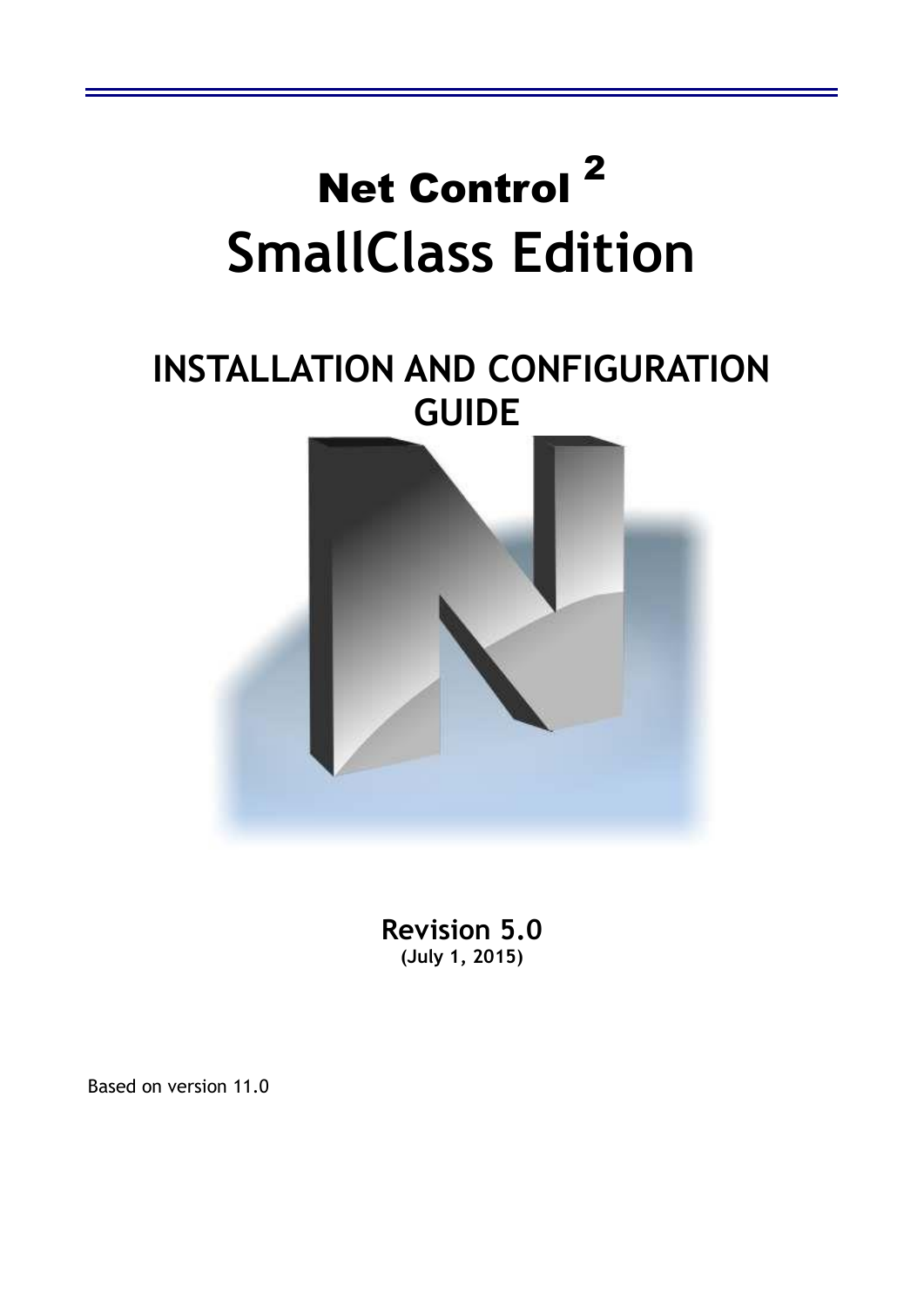

**Revision 5.0 (July 1, 2015)**

Based on version 11.0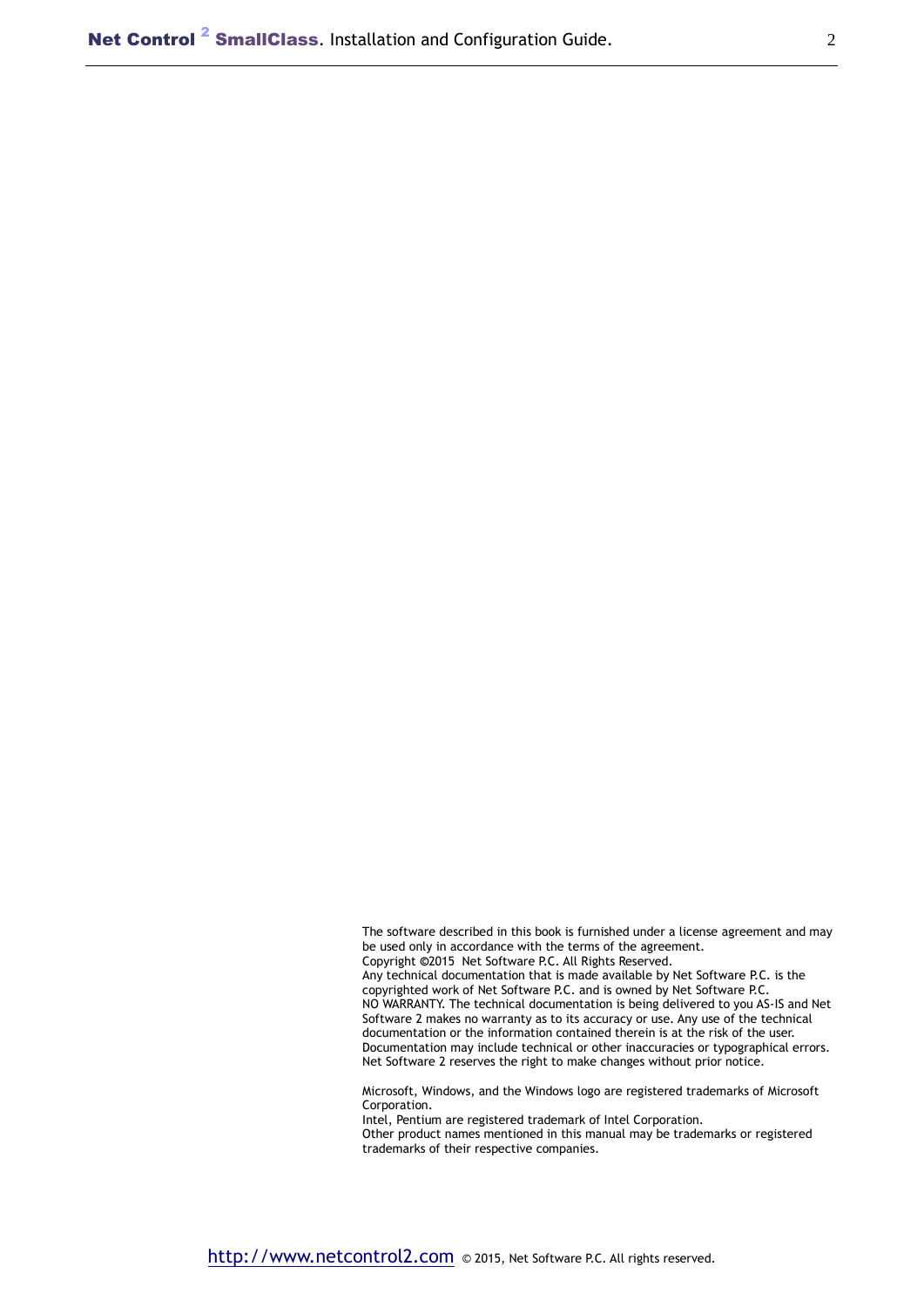The software described in this book is furnished under a license agreement and may be used only in accordance with the terms of the agreement. Copyright **©**2015 Net Software P.C. All Rights Reserved. Any technical documentation that is made available by Net Software P.C. is the copyrighted work of Net Software P.C. and is owned by Net Software P.C. NO WARRANTY. The technical documentation is being delivered to you AS-IS and Net Software 2 makes no warranty as to its accuracy or use. Any use of the technical documentation or the information contained therein is at the risk of the user. Documentation may include technical or other inaccuracies or typographical errors. Net Software 2 reserves the right to make changes without prior notice.

Microsoft, Windows, and the Windows logo are registered trademarks of Microsoft Corporation.

Intel, Pentium are registered trademark of Intel Corporation.

Other product names mentioned in this manual may be trademarks or registered trademarks of their respective companies.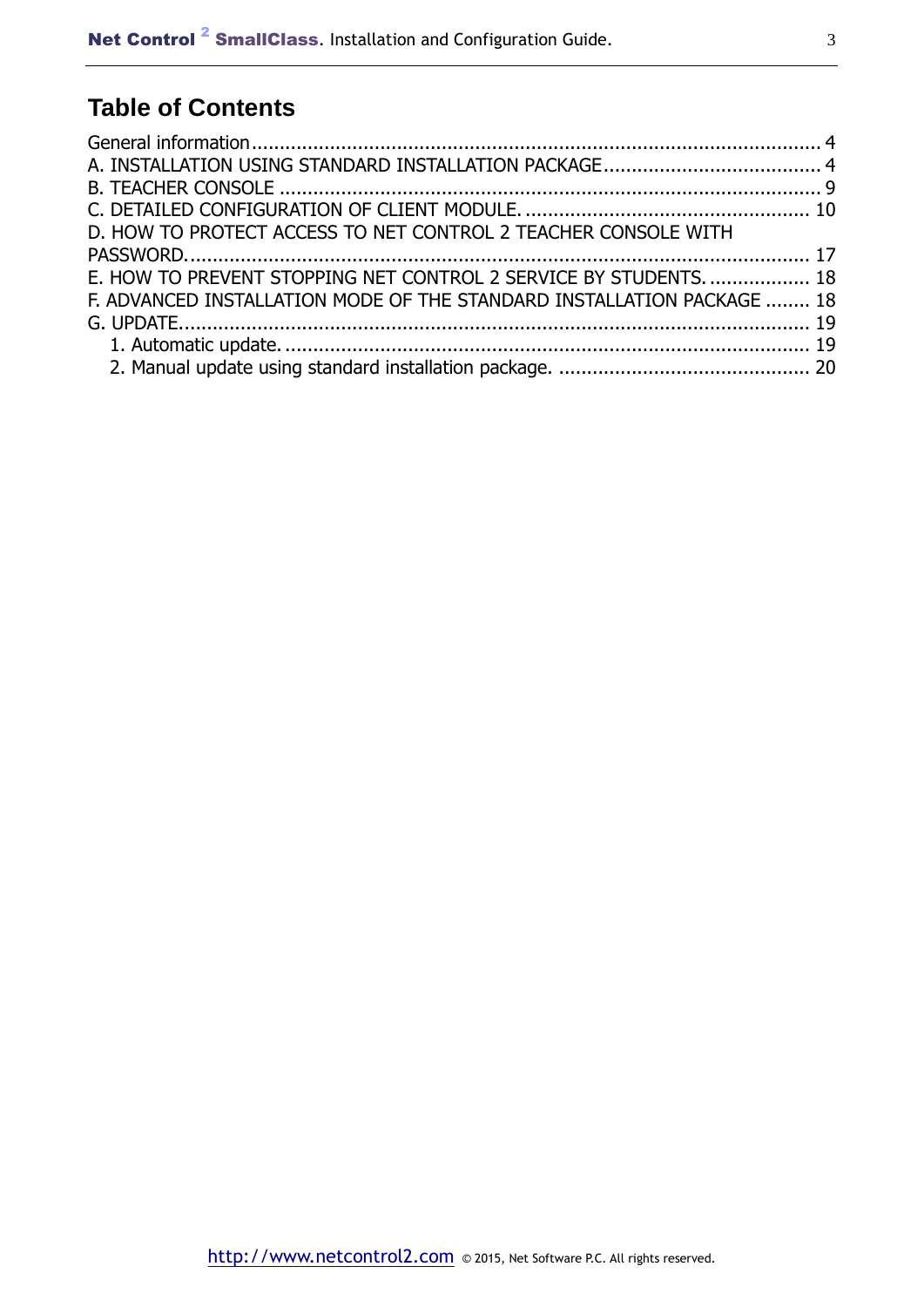## **Table of Contents**

| D. HOW TO PROTECT ACCESS TO NET CONTROL 2 TEACHER CONSOLE WITH         |  |
|------------------------------------------------------------------------|--|
|                                                                        |  |
| E. HOW TO PREVENT STOPPING NET CONTROL 2 SERVICE BY STUDENTS.  18      |  |
| F. ADVANCED INSTALLATION MODE OF THE STANDARD INSTALLATION PACKAGE  18 |  |
|                                                                        |  |
|                                                                        |  |
|                                                                        |  |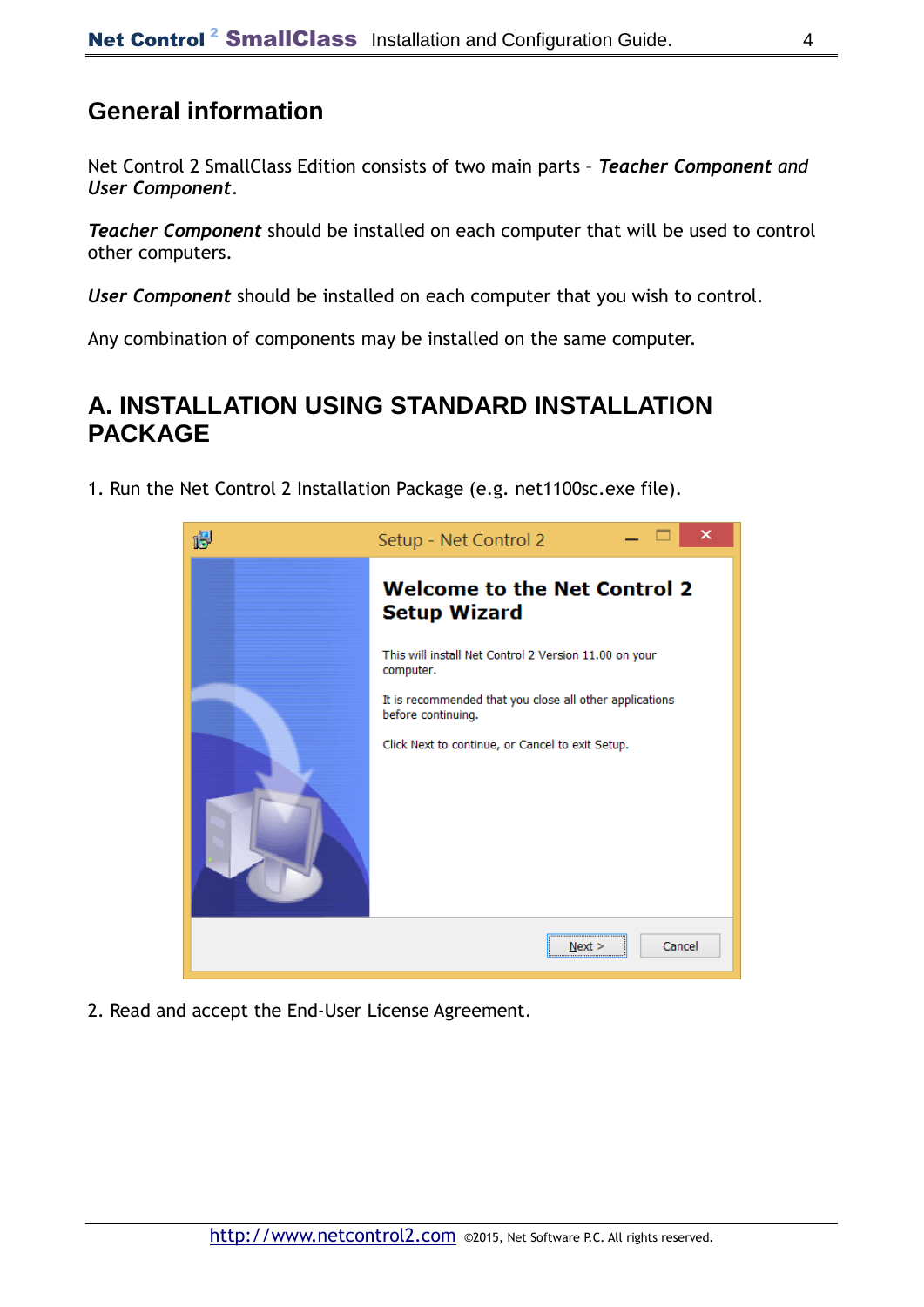### **General information**

Net Control 2 SmallClass Edition consists of two main parts – *Teacher Component and User Component*.

*Teacher Component* should be installed on each computer that will be used to control other computers.

*User Component* should be installed on each computer that you wish to control.

Any combination of components may be installed on the same computer.

### **A. INSTALLATION USING STANDARD INSTALLATION PACKAGE**

1. Run the Net Control 2 Installation Package (e.g. net1100sc.exe file).



2. Read and accept the End-User License Agreement.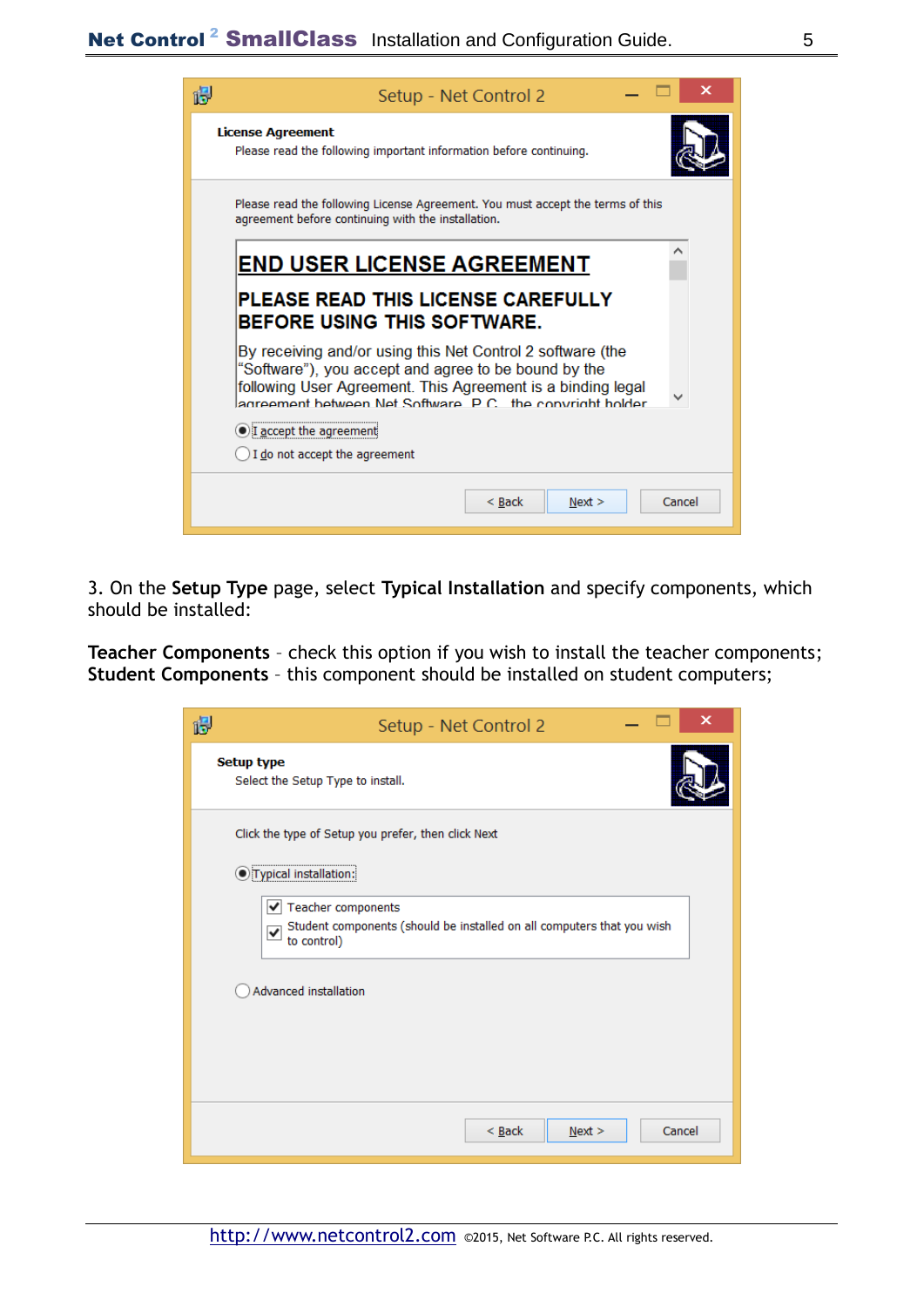| Setup - Net Control 2                                                                                                                                                                                                                           |        |  |
|-------------------------------------------------------------------------------------------------------------------------------------------------------------------------------------------------------------------------------------------------|--------|--|
| <b>License Agreement</b><br>Please read the following important information before continuing.                                                                                                                                                  |        |  |
| Please read the following License Agreement. You must accept the terms of this<br>agreement before continuing with the installation.                                                                                                            |        |  |
| <b>END USER LICENSE AGREEMENT</b>                                                                                                                                                                                                               |        |  |
| PLEASE READ THIS LICENSE CAREFULLY<br><b>BEFORE USING THIS SOFTWARE.</b>                                                                                                                                                                        |        |  |
| By receiving and/or using this Net Control 2 software (the<br>"Software"), you accept and agree to be bound by the<br>following User Agreement. This Agreement is a binding legal<br>agreement between Net Software, P.C., the convright holder |        |  |
| I accept the agreement<br>I do not accept the agreement                                                                                                                                                                                         |        |  |
| $<$ Back<br>Next >                                                                                                                                                                                                                              | Cancel |  |

3. On the **Setup Type** page, select **Typical Installation** and specify components, which should be installed:

**Teacher Components** – check this option if you wish to install the teacher components; **Student Components** – this component should be installed on student computers;

| ×<br>Setup - Net Control 2                                                                                    |
|---------------------------------------------------------------------------------------------------------------|
| <b>Setup type</b><br>Select the Setup Type to install.                                                        |
| Click the type of Setup you prefer, then click Next                                                           |
| O Typical installation:                                                                                       |
| ✔ Teacher components<br>Student components (should be installed on all computers that you wish<br>to control) |
| Advanced installation                                                                                         |
|                                                                                                               |
| $<$ Back<br>Cancel<br>Next                                                                                    |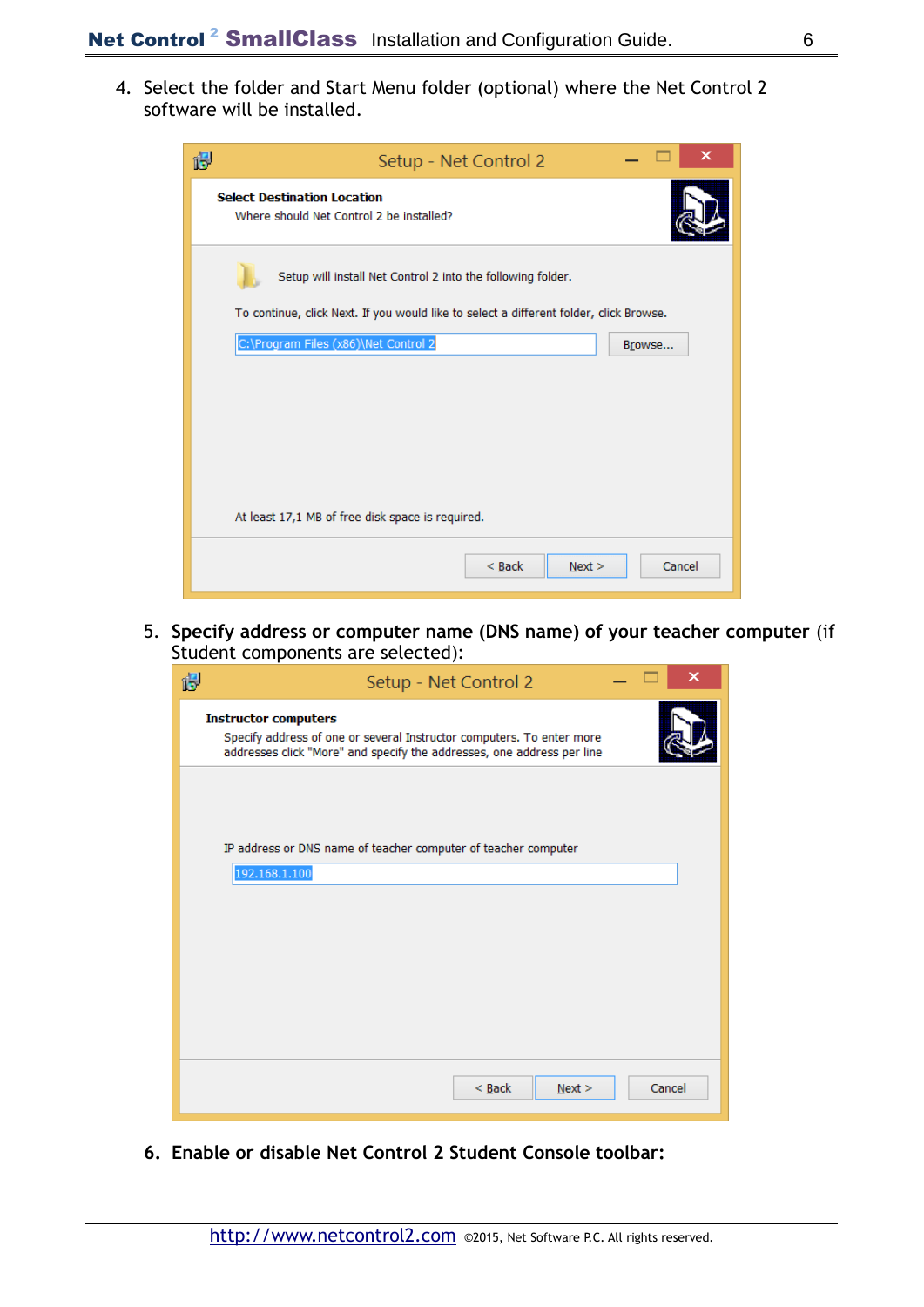4. Select the folder and Start Menu folder (optional) where the Net Control 2 software will be installed.

| 慢                                                                                      | Setup - Net Control 2 |        | ×      |
|----------------------------------------------------------------------------------------|-----------------------|--------|--------|
| <b>Select Destination Location</b><br>Where should Net Control 2 be installed?         |                       |        |        |
| Setup will install Net Control 2 into the following folder.                            |                       |        |        |
| To continue, click Next. If you would like to select a different folder, click Browse. |                       |        |        |
| C:\Program Files (x86)\Net Control 2                                                   |                       | Browse |        |
| At least 17,1 MB of free disk space is required.                                       |                       |        |        |
|                                                                                        |                       |        |        |
|                                                                                        | $\leq$ Back           | Next > | Cancel |

5. **Specify address or computer name (DNS name) of your teacher computer** (if Student components are selected):

| 诏<br>Setup - Net Control 2                                                                                                                                                     | x      |
|--------------------------------------------------------------------------------------------------------------------------------------------------------------------------------|--------|
| <b>Instructor computers</b><br>Specify address of one or several Instructor computers. To enter more<br>addresses click "More" and specify the addresses, one address per line |        |
|                                                                                                                                                                                |        |
| IP address or DNS name of teacher computer of teacher computer                                                                                                                 |        |
| 192.168.1.100                                                                                                                                                                  |        |
|                                                                                                                                                                                |        |
|                                                                                                                                                                                |        |
|                                                                                                                                                                                |        |
|                                                                                                                                                                                |        |
| $\leq$ Back<br>Next >                                                                                                                                                          | Cancel |

**6. Enable or disable Net Control 2 Student Console toolbar:**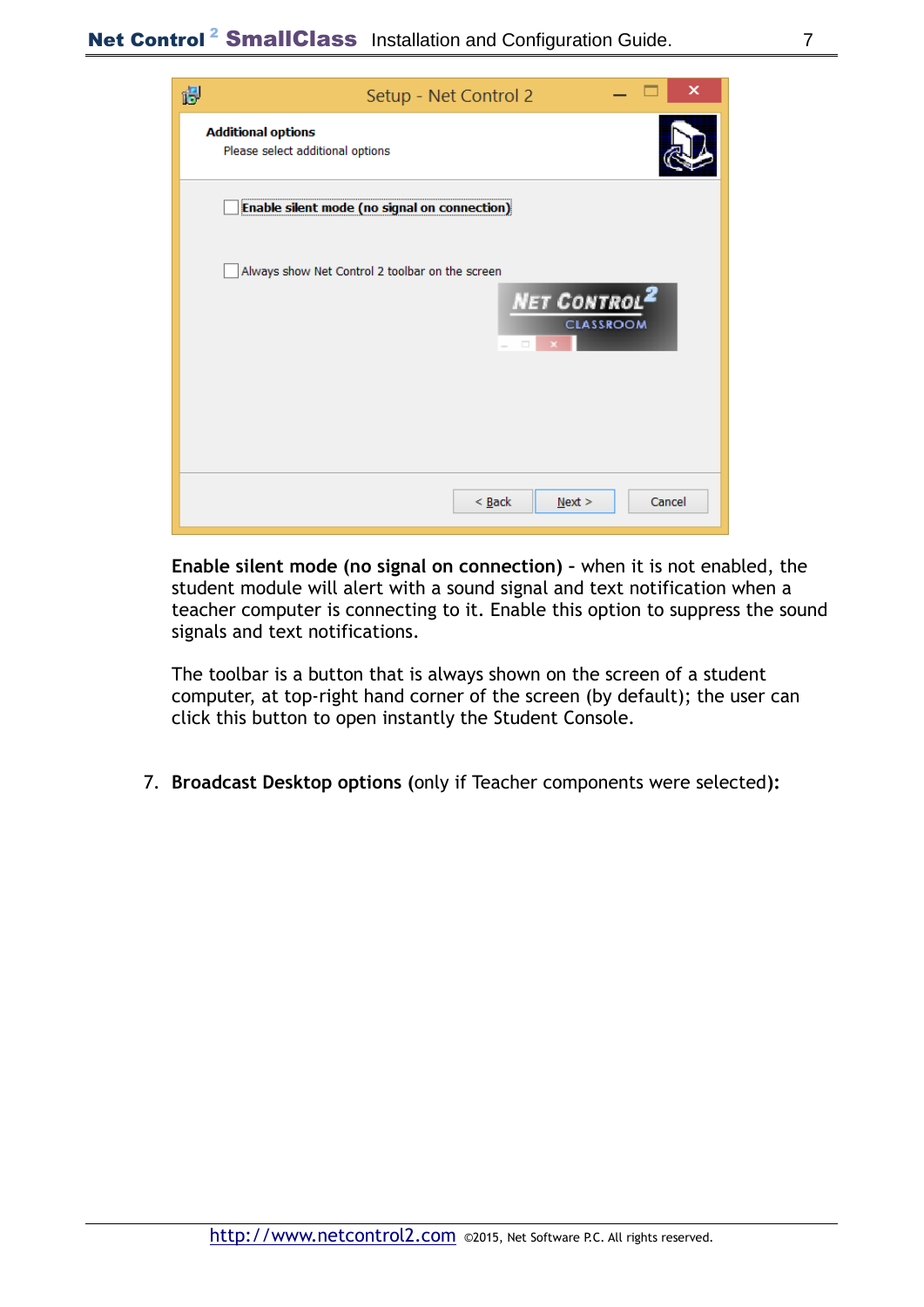

**Enable silent mode (no signal on connection) –** when it is not enabled, the student module will alert with a sound signal and text notification when a teacher computer is connecting to it. Enable this option to suppress the sound signals and text notifications.

The toolbar is a button that is always shown on the screen of a student computer, at top-right hand corner of the screen (by default); the user can click this button to open instantly the Student Console.

7. **Broadcast Desktop options (**only if Teacher components were selected**):**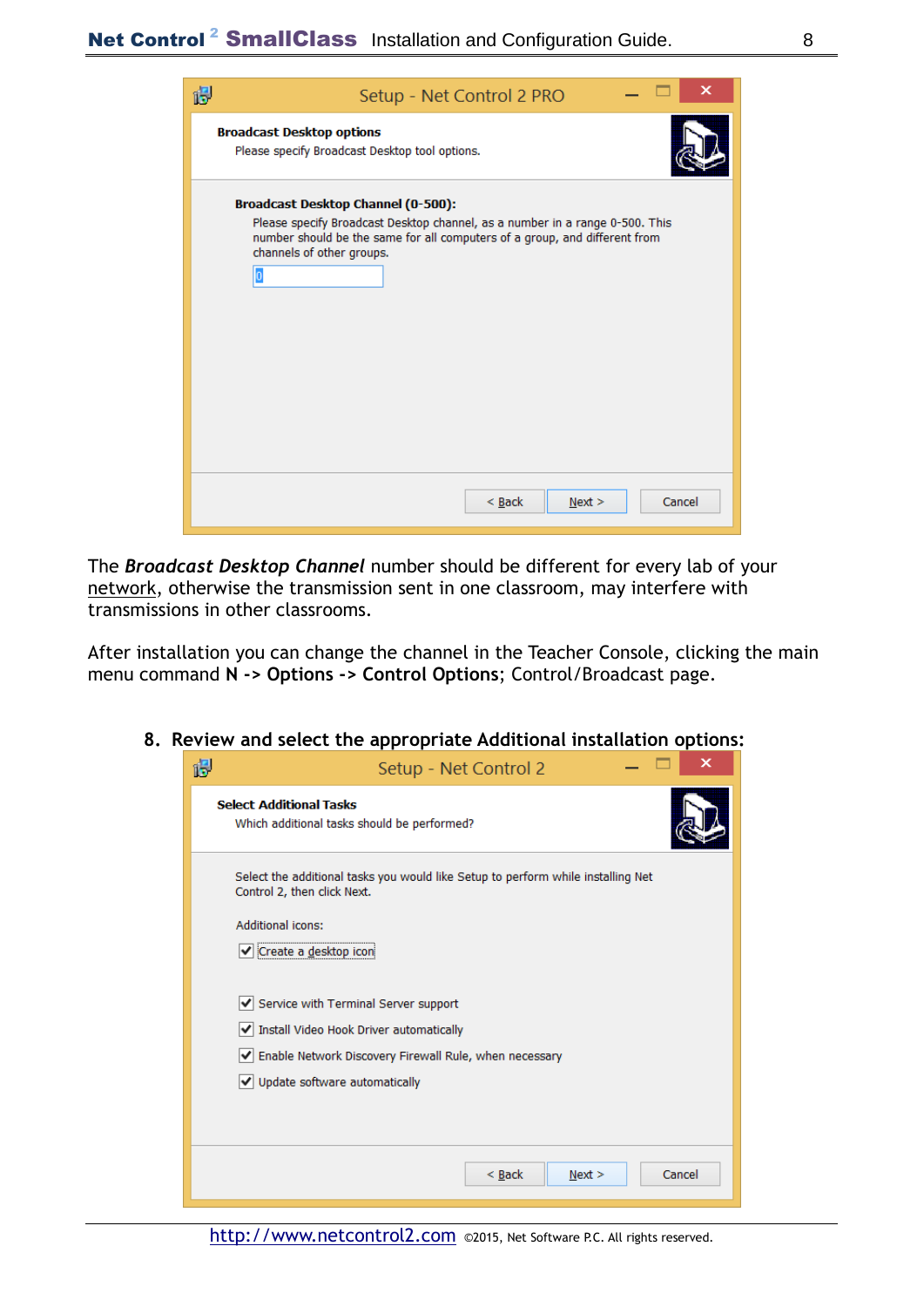| 得 | ×<br>Setup - Net Control 2 PRO                                                                                                                                                                                                |
|---|-------------------------------------------------------------------------------------------------------------------------------------------------------------------------------------------------------------------------------|
|   | <b>Broadcast Desktop options</b><br>Please specify Broadcast Desktop tool options.                                                                                                                                            |
|   | Broadcast Desktop Channel (0-500):<br>Please specify Broadcast Desktop channel, as a number in a range 0-500. This<br>number should be the same for all computers of a group, and different from<br>channels of other groups. |
|   | $<$ Back<br>Cancel<br>Next >                                                                                                                                                                                                  |

The *Broadcast Desktop Channel* number should be different for every lab of your network, otherwise the transmission sent in one classroom, may interfere with transmissions in other classrooms.

After installation you can change the channel in the Teacher Console, clicking the main menu command **N -> Options -> Control Options**; Control/Broadcast page.

| яE                                            | Setup - Net Control 2 |  |
|-----------------------------------------------|-----------------------|--|
| and the control of the distance of the colour |                       |  |

**8. Review and select the appropriate Additional installation options:**

| ĨΘ | Setup - Net Control 2                                                                                                                                                              |
|----|------------------------------------------------------------------------------------------------------------------------------------------------------------------------------------|
|    | <b>Select Additional Tasks</b><br>Which additional tasks should be performed?                                                                                                      |
|    | Select the additional tasks you would like Setup to perform while installing Net<br>Control 2, then click Next.<br><b>Additional icons:</b><br>√ Create a desktop icon             |
|    | ✔ Service with Terminal Server support<br>√ Install Video Hook Driver automatically<br>√ Enable Network Discovery Firewall Rule, when necessary<br>V Update software automatically |
|    | $<$ Back<br>Cancel<br>Next >                                                                                                                                                       |

[http://www.netcontrol2.com](http://www.netcontrol2.com/) ©2015, Net Software P.C. All rights reserved.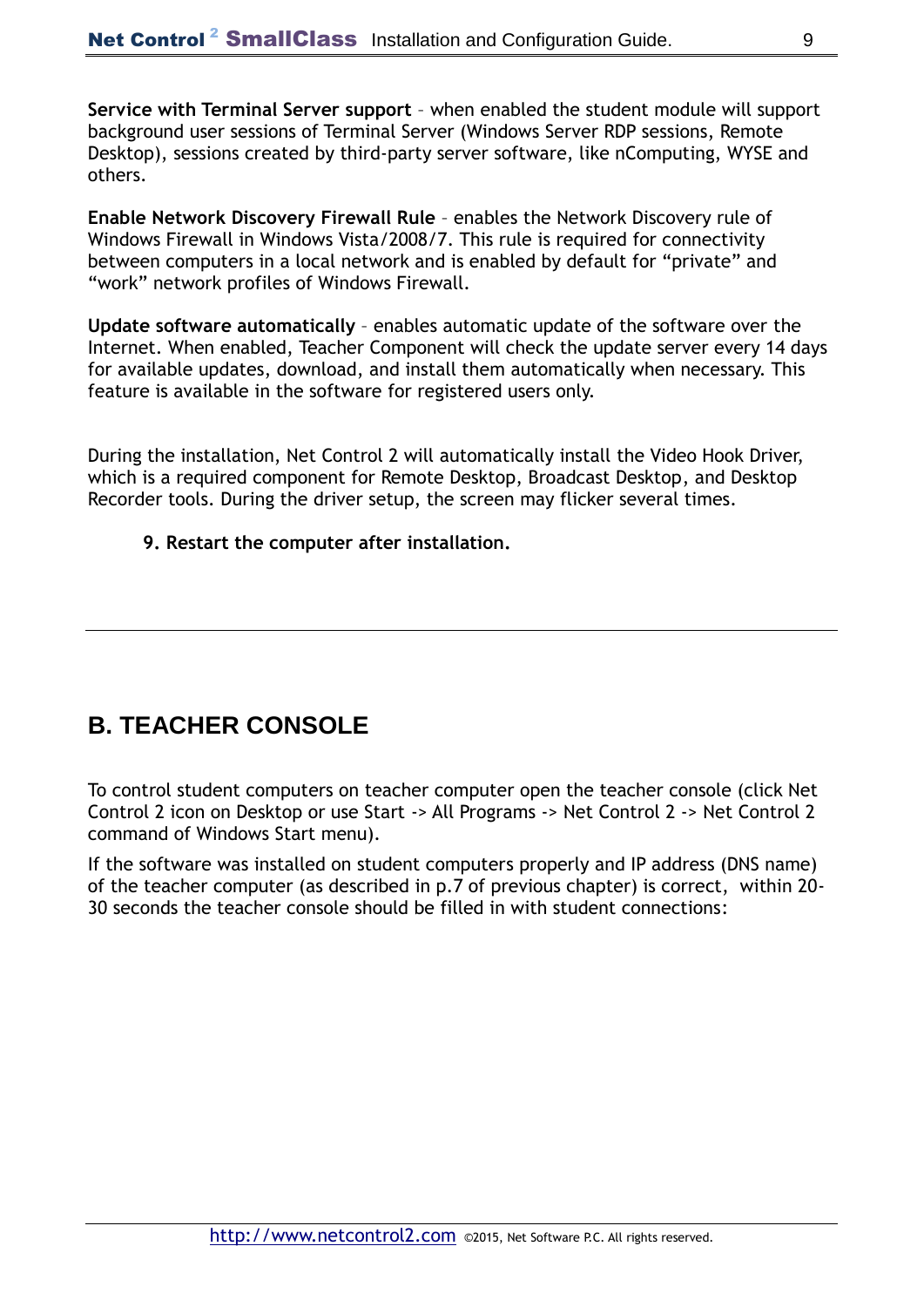**Service with Terminal Server support** – when enabled the student module will support background user sessions of Terminal Server (Windows Server RDP sessions, Remote Desktop), sessions created by third-party server software, like nComputing, WYSE and others.

**Enable Network Discovery Firewall Rule** – enables the Network Discovery rule of Windows Firewall in Windows Vista/2008/7. This rule is required for connectivity between computers in a local network and is enabled by default for "private" and "work" network profiles of Windows Firewall.

**Update software automatically** – enables automatic update of the software over the Internet. When enabled, Teacher Component will check the update server every 14 days for available updates, download, and install them automatically when necessary. This feature is available in the software for registered users only.

During the installation, Net Control 2 will automatically install the Video Hook Driver, which is a required component for Remote Desktop, Broadcast Desktop, and Desktop Recorder tools. During the driver setup, the screen may flicker several times.

#### **9. Restart the computer after installation.**

### **B. TEACHER CONSOLE**

To control student computers on teacher computer open the teacher console (click Net Control 2 icon on Desktop or use Start -> All Programs -> Net Control 2 -> Net Control 2 command of Windows Start menu).

If the software was installed on student computers properly and IP address (DNS name) of the teacher computer (as described in p.7 of previous chapter) is correct, within 20- 30 seconds the teacher console should be filled in with student connections: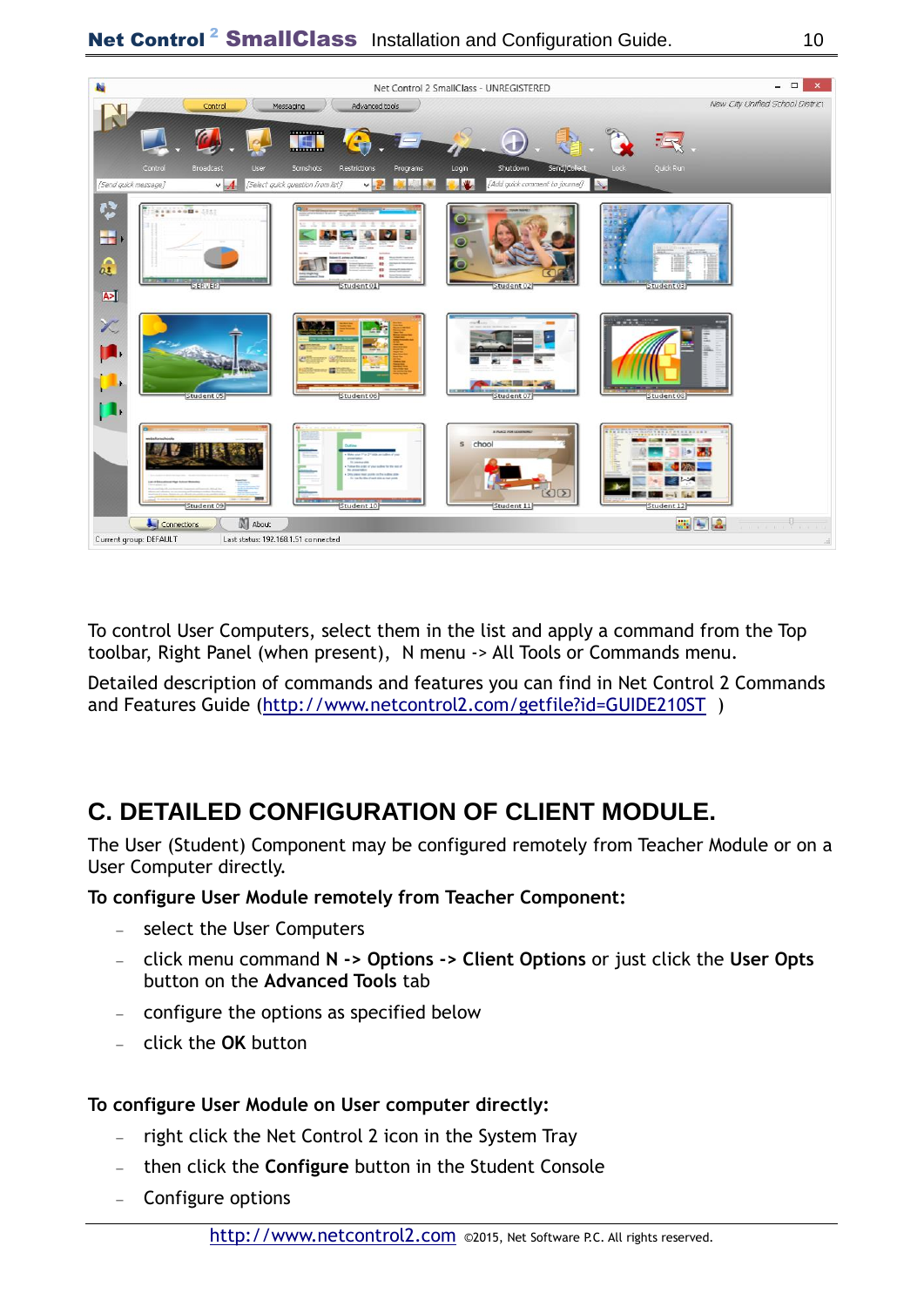

To control User Computers, select them in the list and apply a command from the Top toolbar, Right Panel (when present), N menu -> All Tools or Commands menu.

Detailed description of commands and features you can find in Net Control 2 Commands and Features Guide [\(http://www.netcontrol2.com/getfile?id=GUIDE210ST](http://www.netcontrol2.com/getfile?id=GUIDE210ST) )

# **C. DETAILED CONFIGURATION OF CLIENT MODULE.**

The User (Student) Component may be configured remotely from Teacher Module or on a User Computer directly.

**To configure User Module remotely from Teacher Component:**

- select the User Computers
- click menu command **N -> Options -> Client Options** or just click the **User Opts**  button on the **Advanced Tools** tab
- configure the options as specified below
- click the **OK** button

### **To configure User Module on User computer directly:**

- $-$  right click the Net Control 2 icon in the System Tray
- then click the **Configure** button in the Student Console
- Configure options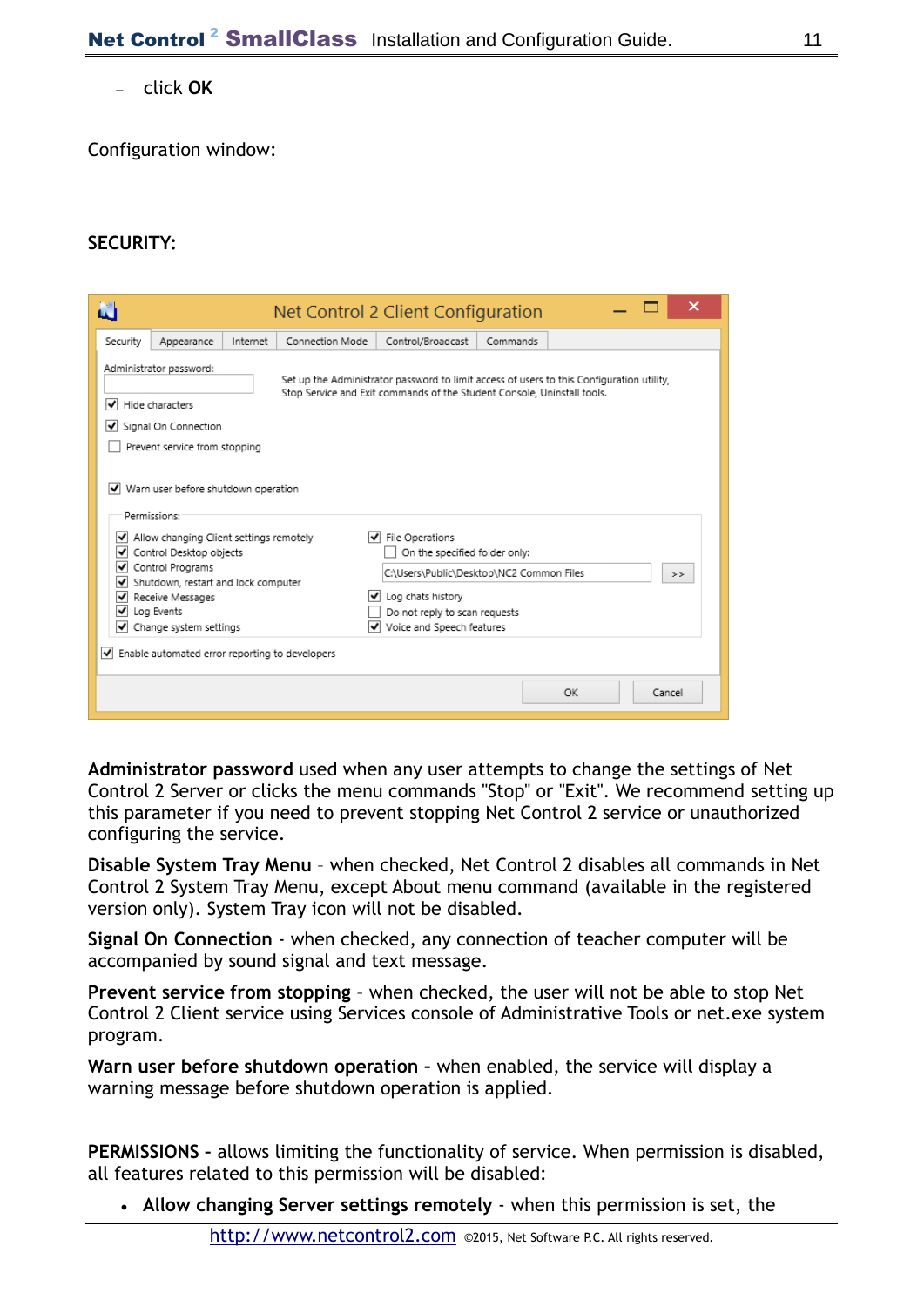click **OK**

Configuration window:

#### **SECURITY:**

| N                                                                                                                                                                                                                                                                                                                         |                                                                                                                                                                                                                                                                                                                                                                                                        |          |                 | Net Control 2 Client Configuration |          |  | ×      |  |
|---------------------------------------------------------------------------------------------------------------------------------------------------------------------------------------------------------------------------------------------------------------------------------------------------------------------------|--------------------------------------------------------------------------------------------------------------------------------------------------------------------------------------------------------------------------------------------------------------------------------------------------------------------------------------------------------------------------------------------------------|----------|-----------------|------------------------------------|----------|--|--------|--|
| Security                                                                                                                                                                                                                                                                                                                  | Appearance                                                                                                                                                                                                                                                                                                                                                                                             | Internet | Connection Mode | Control/Broadcast                  | Commands |  |        |  |
| Administrator password:<br>Set up the Administrator password to limit access of users to this Configuration utility,<br>Stop Service and Exit commands of the Student Console, Uninstall tools.<br>I Hide characters<br>Signal On Connection<br>Prevent service from stopping<br>Warn user before shutdown operation<br>◡ |                                                                                                                                                                                                                                                                                                                                                                                                        |          |                 |                                    |          |  |        |  |
| ◡<br>է<br>◡<br>√<br>◡<br>√<br>◡                                                                                                                                                                                                                                                                                           | Permissions:<br>File Operations<br>Allow changing Client settings remotely<br>V<br>Control Desktop objects<br>On the specified folder only:<br>Control Programs<br>C:\Users\Public\Desktop\NC2 Common Files<br>><br>Shutdown, restart and lock computer<br>Log chats history<br>Receive Messages<br>Log Events<br>Do not reply to scan requests<br>Change system settings<br>Voice and Speech features |          |                 |                                    |          |  |        |  |
|                                                                                                                                                                                                                                                                                                                           | $ v $ Enable automated error reporting to developers                                                                                                                                                                                                                                                                                                                                                   |          |                 |                                    | OK       |  | Cancel |  |

**Administrator password** used when any user attempts to change the settings of Net Control 2 Server or clicks the menu commands "Stop" or "Exit". We recommend setting up this parameter if you need to prevent stopping Net Control 2 service or unauthorized configuring the service.

**Disable System Tray Menu** – when checked, Net Control 2 disables all commands in Net Control 2 System Tray Menu, except About menu command (available in the registered version only). System Tray icon will not be disabled.

**Signal On Connection** - when checked, any connection of teacher computer will be accompanied by sound signal and text message.

**Prevent service from stopping** – when checked, the user will not be able to stop Net Control 2 Client service using Services console of Administrative Tools or net.exe system program.

**Warn user before shutdown operation -** when enabled, the service will display a warning message before shutdown operation is applied.

**PERMISSIONS –** allows limiting the functionality of service. When permission is disabled, all features related to this permission will be disabled:

**Allow changing Server settings remotely** - when this permission is set, the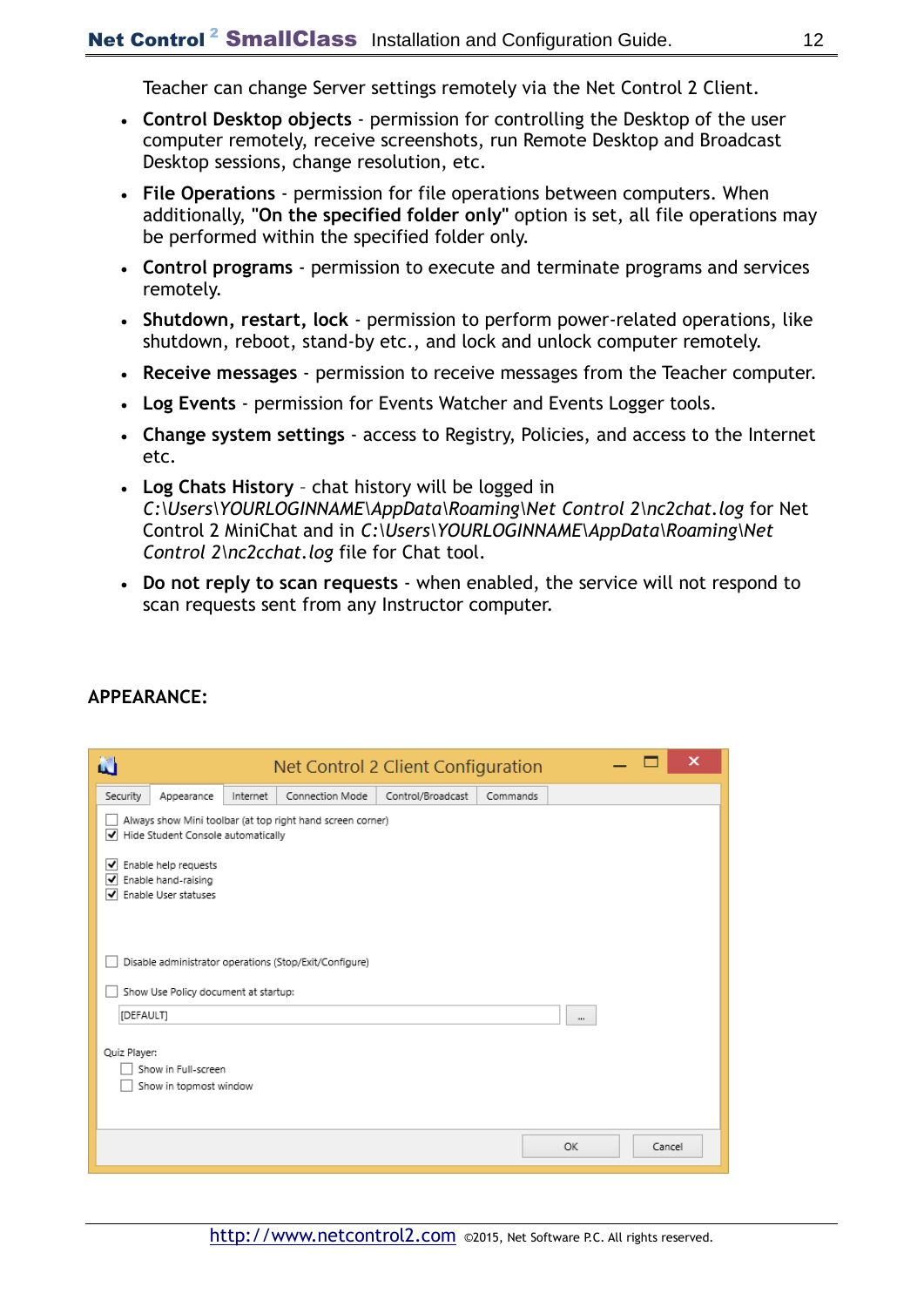Teacher can change Server settings remotely via the Net Control 2 Client.

- **Control Desktop objects** permission for controlling the Desktop of the user computer remotely, receive screenshots, run Remote Desktop and Broadcast Desktop sessions, change resolution, etc.
- **File Operations**  permission for file operations between computers. When additionally, **"On the specified folder only"** option is set, all file operations may be performed within the specified folder only.
- **Control programs**  permission to execute and terminate programs and services remotely.
- **Shutdown, restart, lock**  permission to perform power-related operations, like shutdown, reboot, stand-by etc., and lock and unlock computer remotely.
- **Receive messages**  permission to receive messages from the Teacher computer.
- **Log Events**  permission for Events Watcher and Events Logger tools.
- **Change system settings**  access to Registry, Policies, and access to the Internet etc.
- **Log Chats History**  chat history will be logged in *C:\Users\YOURLOGINNAME\AppData\Roaming\Net Control 2\nc2chat.log* for Net Control 2 MiniChat and in *C:\Users\YOURLOGINNAME\AppData\Roaming\Net Control 2\nc2cchat.log* file for Chat tool.
- **Do not reply to scan requests**  when enabled, the service will not respond to scan requests sent from any Instructor computer.

| N            |                                                                     |          |                                                            | Net Control 2 Client Configuration |          |           | ×      |
|--------------|---------------------------------------------------------------------|----------|------------------------------------------------------------|------------------------------------|----------|-----------|--------|
| Security     | Appearance                                                          | Internet | Connection Mode                                            | Control/Broadcast                  | Commands |           |        |
|              | Hide Student Console automatically                                  |          | Always show Mini toolbar (at top right hand screen corner) |                                    |          |           |        |
| ∣✔<br>է<br>▿ | Enable help requests<br>Enable hand-raising<br>Enable User statuses |          |                                                            |                                    |          |           |        |
|              |                                                                     |          | Disable administrator operations (Stop/Exit/Configure)     |                                    |          |           |        |
|              | Show Use Policy document at startup:                                |          |                                                            |                                    |          |           |        |
| [DEFAULT]    |                                                                     |          |                                                            |                                    |          | a por     |        |
| Quiz Player: | Show in Full-screen<br>Show in topmost window                       |          |                                                            |                                    |          |           |        |
|              |                                                                     |          |                                                            |                                    |          | <b>OK</b> | Cancel |

#### **APPEARANCE:**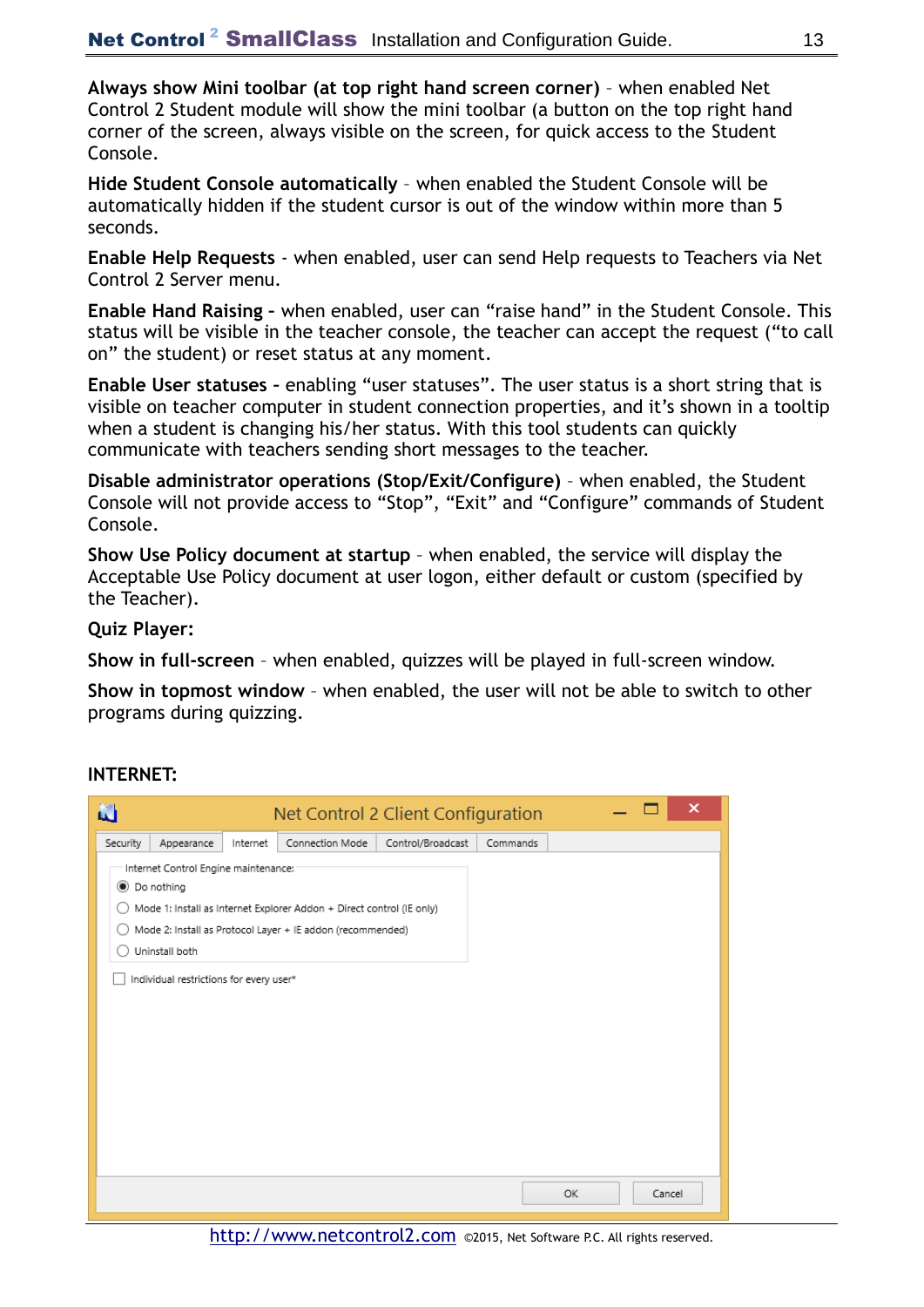**Always show Mini toolbar (at top right hand screen corner)** – when enabled Net Control 2 Student module will show the mini toolbar (a button on the top right hand corner of the screen, always visible on the screen, for quick access to the Student Console.

**Hide Student Console automatically** – when enabled the Student Console will be automatically hidden if the student cursor is out of the window within more than 5 seconds.

**Enable Help Requests** - when enabled, user can send Help requests to Teachers via Net Control 2 Server menu.

**Enable Hand Raising –** when enabled, user can "raise hand" in the Student Console. This status will be visible in the teacher console, the teacher can accept the request ("to call on" the student) or reset status at any moment.

**Enable User statuses –** enabling "user statuses". The user status is a short string that is visible on teacher computer in student connection properties, and it's shown in a tooltip when a student is changing his/her status. With this tool students can quickly communicate with teachers sending short messages to the teacher.

**Disable administrator operations (Stop/Exit/Configure)** – when enabled, the Student Console will not provide access to "Stop", "Exit" and "Configure" commands of Student Console.

**Show Use Policy document at startup** – when enabled, the service will display the Acceptable Use Policy document at user logon, either default or custom (specified by the Teacher).

**Quiz Player:**

**Show in full-screen** – when enabled, quizzes will be played in full-screen window.

**Show in topmost window** – when enabled, the user will not be able to switch to other programs during quizzing.

#### **INTERNET:**

| N        |                                                                                                                   |          | Net Control 2 Client Configuration                                                                                                  |                   |          |    | ×      |
|----------|-------------------------------------------------------------------------------------------------------------------|----------|-------------------------------------------------------------------------------------------------------------------------------------|-------------------|----------|----|--------|
| Security | Appearance                                                                                                        | Internet | Connection Mode                                                                                                                     | Control/Broadcast | Commands |    |        |
|          | Internet Control Engine maintenance:<br>◉ Do nothing<br>Uninstall both<br>Individual restrictions for every user* |          | Mode 1: Install as Internet Explorer Addon + Direct control (IE only)<br>Mode 2: Install as Protocol Layer + IE addon (recommended) |                   |          |    |        |
|          |                                                                                                                   |          |                                                                                                                                     |                   |          | OK | Cancel |

[http://www.netcontrol2.com](http://www.netcontrol2.com/) ©2015, Net Software P.C. All rights reserved.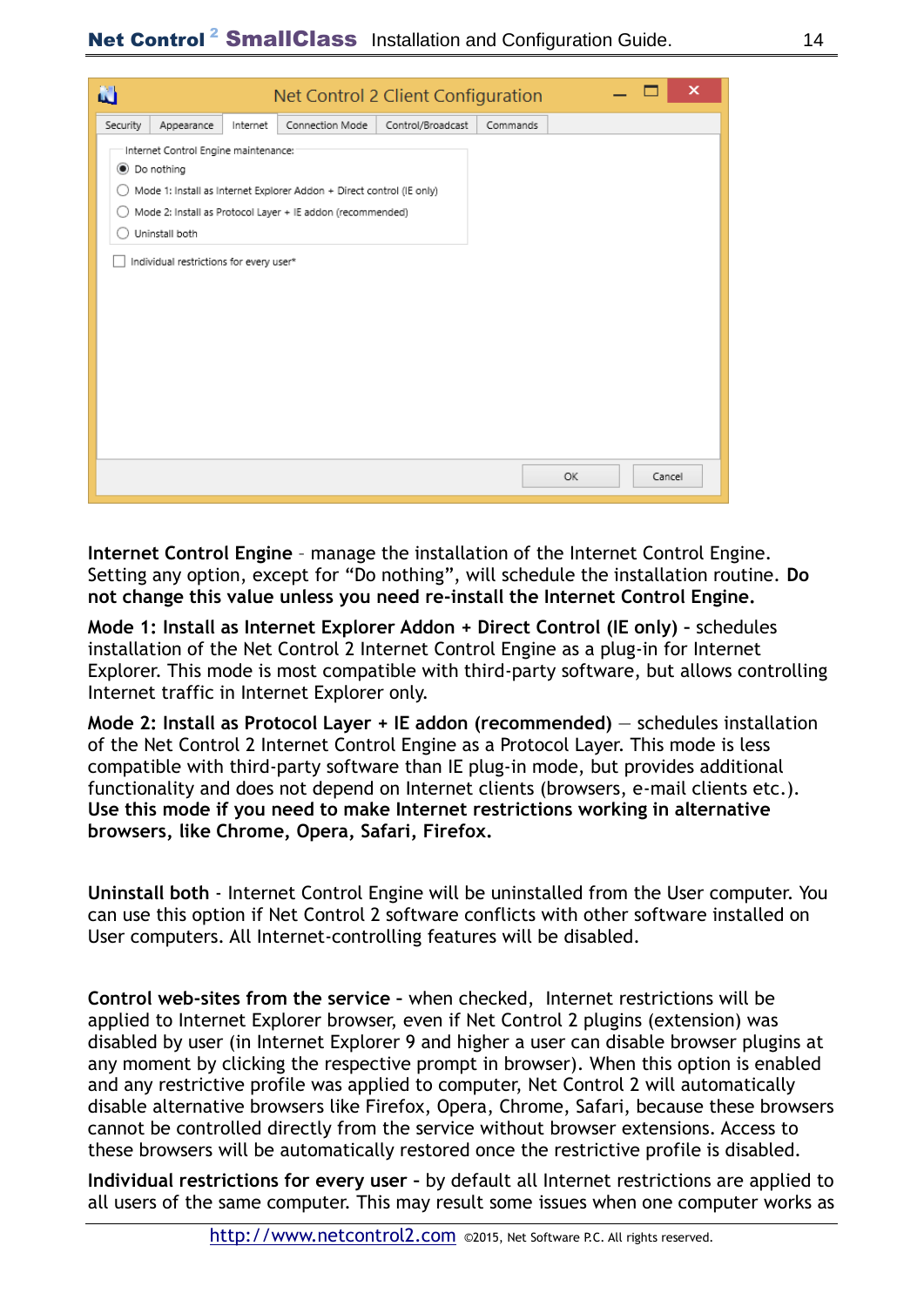| N        |                                                                                                                   |          |                                                                                                                                     | Net Control 2 Client Configuration |          |     | ×      |
|----------|-------------------------------------------------------------------------------------------------------------------|----------|-------------------------------------------------------------------------------------------------------------------------------------|------------------------------------|----------|-----|--------|
| Security | Appearance                                                                                                        | Internet | Connection Mode                                                                                                                     | Control/Broadcast                  | Commands |     |        |
|          | Internet Control Engine maintenance:<br>● Do nothing<br>Uninstall both<br>Individual restrictions for every user* |          | Mode 1: Install as Internet Explorer Addon + Direct control (IE only)<br>Mode 2: Install as Protocol Layer + IE addon (recommended) |                                    |          |     |        |
|          |                                                                                                                   |          |                                                                                                                                     |                                    |          | OK. | Cancel |

**Internet Control Engine** – manage the installation of the Internet Control Engine. Setting any option, except for "Do nothing", will schedule the installation routine. **Do not change this value unless you need re-install the Internet Control Engine.**

**Mode 1: Install as Internet Explorer Addon + Direct Control (IE only) –** schedules installation of the Net Control 2 Internet Control Engine as a plug-in for Internet Explorer. This mode is most compatible with third-party software, but allows controlling Internet traffic in Internet Explorer only.

**Mode 2: Install as Protocol Layer + IE addon (recommended)** – schedules installation of the Net Control 2 Internet Control Engine as a Protocol Layer. This mode is less compatible with third-party software than IE plug-in mode, but provides additional functionality and does not depend on Internet clients (browsers, e-mail clients etc.). **Use this mode if you need to make Internet restrictions working in alternative browsers, like Chrome, Opera, Safari, Firefox.**

**Uninstall both** - Internet Control Engine will be uninstalled from the User computer. You can use this option if Net Control 2 software conflicts with other software installed on User computers. All Internet-controlling features will be disabled.

**Control web-sites from the service –** when checked, Internet restrictions will be applied to Internet Explorer browser, even if Net Control 2 plugins (extension) was disabled by user (in Internet Explorer 9 and higher a user can disable browser plugins at any moment by clicking the respective prompt in browser). When this option is enabled and any restrictive profile was applied to computer, Net Control 2 will automatically disable alternative browsers like Firefox, Opera, Chrome, Safari, because these browsers cannot be controlled directly from the service without browser extensions. Access to these browsers will be automatically restored once the restrictive profile is disabled.

**Individual restrictions for every user –** by default all Internet restrictions are applied to all users of the same computer. This may result some issues when one computer works as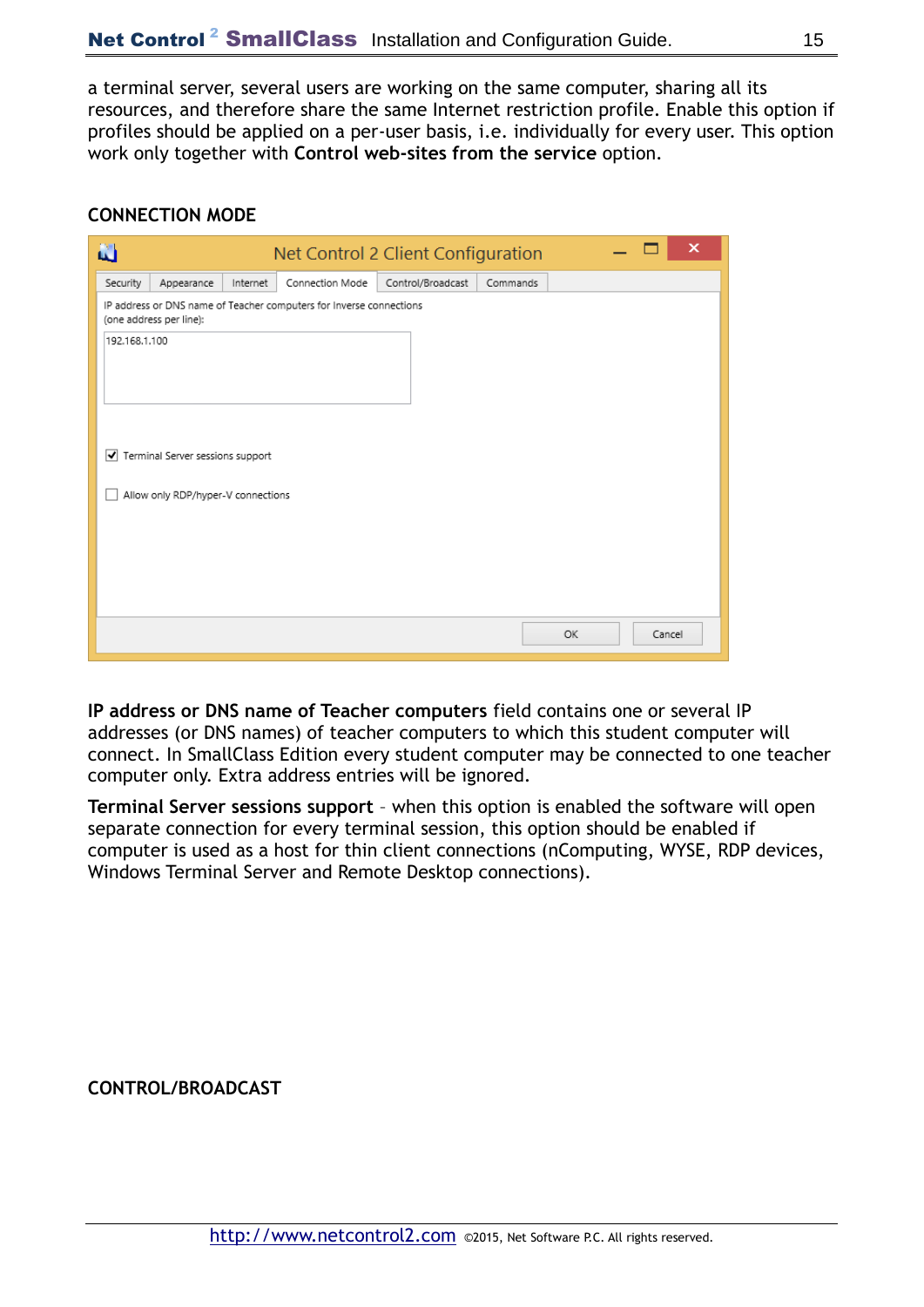a terminal server, several users are working on the same computer, sharing all its resources, and therefore share the same Internet restriction profile. Enable this option if profiles should be applied on a per-user basis, i.e. individually for every user. This option work only together with **Control web-sites from the service** option.

#### **CONNECTION MODE**

| N        |                                    |          |                                                                     | Net Control 2 Client Configuration |          |  |        | × |
|----------|------------------------------------|----------|---------------------------------------------------------------------|------------------------------------|----------|--|--------|---|
| Security | Appearance                         | Internet | Connection Mode                                                     | Control/Broadcast                  | Commands |  |        |   |
|          | (one address per line):            |          | IP address or DNS name of Teacher computers for Inverse connections |                                    |          |  |        |   |
|          | 192.168.1.100                      |          |                                                                     |                                    |          |  |        |   |
|          | Terminal Server sessions support   |          |                                                                     |                                    |          |  |        |   |
|          | Allow only RDP/hyper-V connections |          |                                                                     |                                    |          |  |        |   |
|          |                                    |          |                                                                     |                                    |          |  |        |   |
|          |                                    |          |                                                                     |                                    |          |  |        |   |
|          |                                    |          |                                                                     |                                    |          |  |        |   |
|          |                                    |          |                                                                     |                                    | OK       |  | Cancel |   |

**IP address or DNS name of Teacher computers** field contains one or several IP addresses (or DNS names) of teacher computers to which this student computer will connect. In SmallClass Edition every student computer may be connected to one teacher computer only. Extra address entries will be ignored.

**Terminal Server sessions support** – when this option is enabled the software will open separate connection for every terminal session, this option should be enabled if computer is used as a host for thin client connections (nComputing, WYSE, RDP devices, Windows Terminal Server and Remote Desktop connections).

**CONTROL/BROADCAST**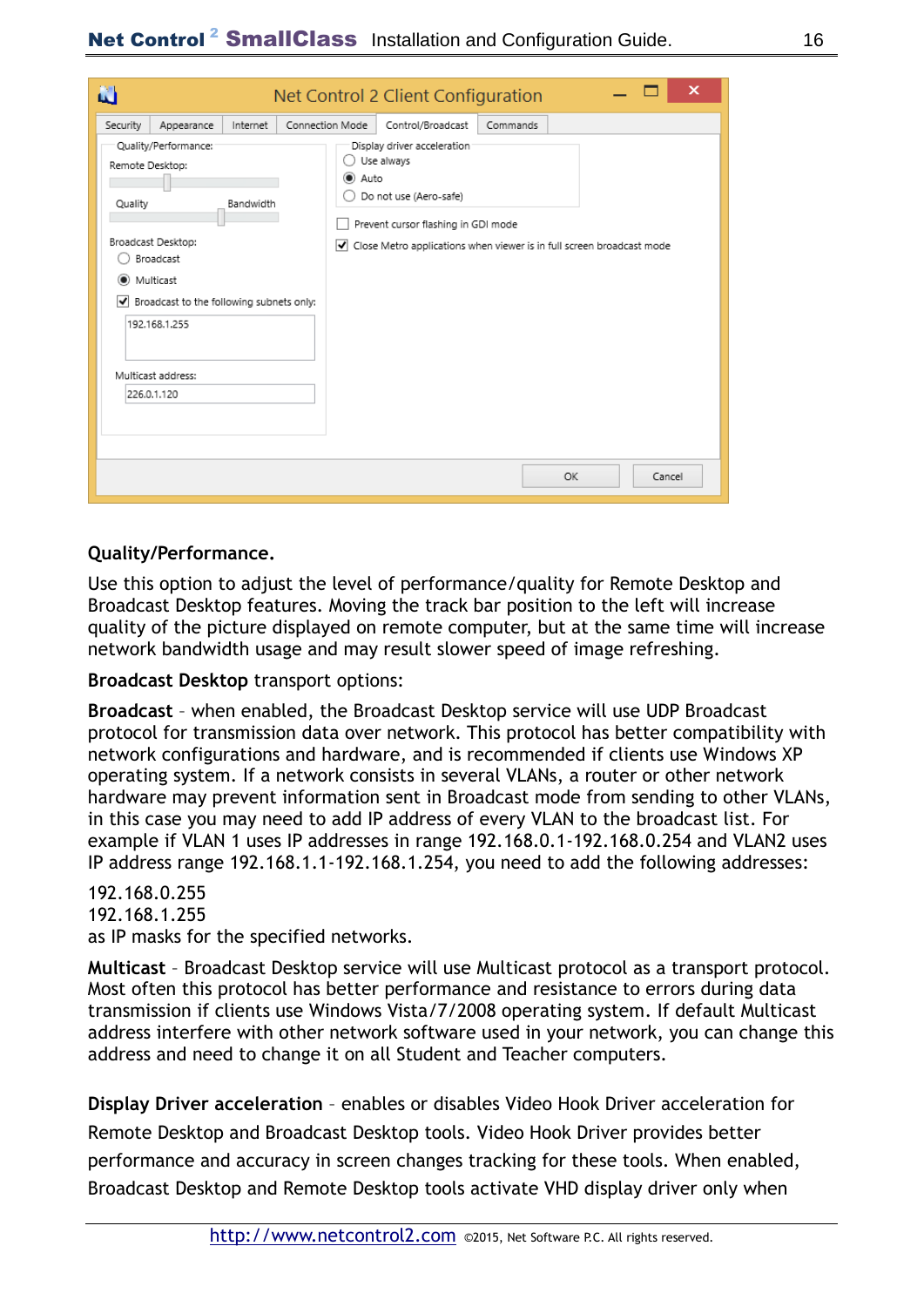| N                                                   |                                                                                                                                                                           |                       |                                  | Net Control 2 Client Configuration                                                                                                                                                                       |          |    |        | × |
|-----------------------------------------------------|---------------------------------------------------------------------------------------------------------------------------------------------------------------------------|-----------------------|----------------------------------|----------------------------------------------------------------------------------------------------------------------------------------------------------------------------------------------------------|----------|----|--------|---|
| Security<br>Remote Desktop:<br>Quality<br>Multicast | Appearance<br>Quality/Performance:<br>Broadcast Desktop:<br>Broadcast<br>√ Broadcast to the following subnets only:<br>192.168.1.255<br>Multicast address:<br>226.0.1.120 | Internet<br>Bandwidth | Connection Mode<br>(C) Auto<br>է | Control/Broadcast<br>Display driver acceleration<br>Use always<br>Do not use (Aero-safe)<br>Prevent cursor flashing in GDI mode<br>Close Metro applications when viewer is in full screen broadcast mode | Commands |    |        |   |
|                                                     |                                                                                                                                                                           |                       |                                  |                                                                                                                                                                                                          |          | OK | Cancel |   |

#### **Quality/Performance.**

Use this option to adjust the level of performance/quality for Remote Desktop and Broadcast Desktop features. Moving the track bar position to the left will increase quality of the picture displayed on remote computer, but at the same time will increase network bandwidth usage and may result slower speed of image refreshing.

**Broadcast Desktop** transport options:

**Broadcast** – when enabled, the Broadcast Desktop service will use UDP Broadcast protocol for transmission data over network. This protocol has better compatibility with network configurations and hardware, and is recommended if clients use Windows XP operating system. If a network consists in several VLANs, a router or other network hardware may prevent information sent in Broadcast mode from sending to other VLANs, in this case you may need to add IP address of every VLAN to the broadcast list. For example if VLAN 1 uses IP addresses in range 192.168.0.1-192.168.0.254 and VLAN2 uses IP address range 192.168.1.1-192.168.1.254, you need to add the following addresses:

#### 192.168.0.255

192.168.1.255 as IP masks for the specified networks.

**Multicast** – Broadcast Desktop service will use Multicast protocol as a transport protocol. Most often this protocol has better performance and resistance to errors during data transmission if clients use Windows Vista/7/2008 operating system. If default Multicast address interfere with other network software used in your network, you can change this address and need to change it on all Student and Teacher computers.

**Display Driver acceleration** – enables or disables Video Hook Driver acceleration for Remote Desktop and Broadcast Desktop tools. Video Hook Driver provides better performance and accuracy in screen changes tracking for these tools. When enabled, Broadcast Desktop and Remote Desktop tools activate VHD display driver only when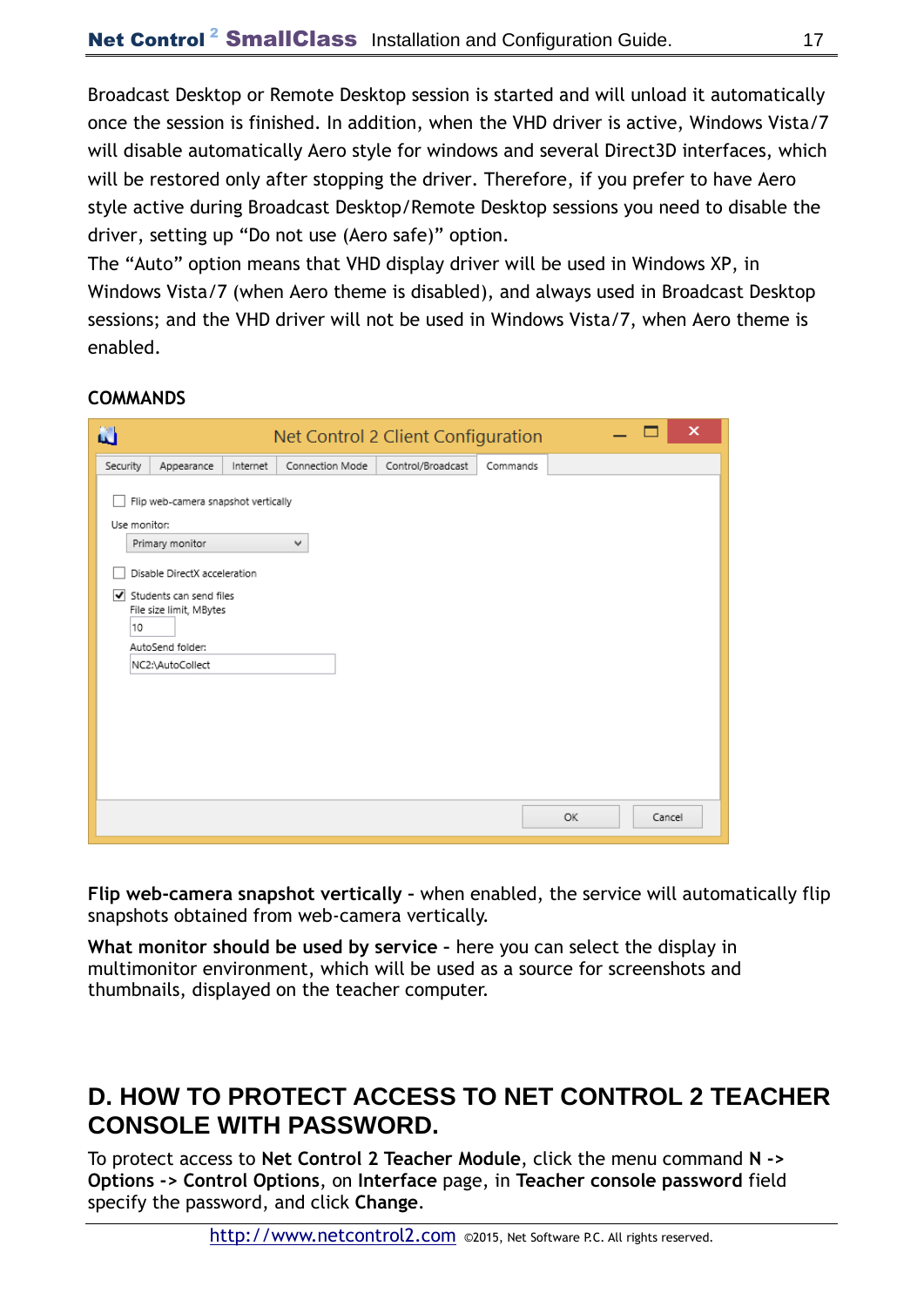Broadcast Desktop or Remote Desktop session is started and will unload it automatically once the session is finished. In addition, when the VHD driver is active, Windows Vista/7 will disable automatically Aero style for windows and several Direct3D interfaces, which will be restored only after stopping the driver. Therefore, if you prefer to have Aero style active during Broadcast Desktop/Remote Desktop sessions you need to disable the driver, setting up "Do not use (Aero safe)" option.

The "Auto" option means that VHD display driver will be used in Windows XP, in Windows Vista/7 (when Aero theme is disabled), and always used in Broadcast Desktop sessions; and the VHD driver will not be used in Windows Vista/7, when Aero theme is enabled.

#### **COMMANDS**

| N                  |                                                                                                                                                                                      |          |                 | Net Control 2 Client Configuration |          |    |        | × |
|--------------------|--------------------------------------------------------------------------------------------------------------------------------------------------------------------------------------|----------|-----------------|------------------------------------|----------|----|--------|---|
| Security           | Appearance                                                                                                                                                                           | Internet | Connection Mode | Control/Broadcast                  | Commands |    |        |   |
| Use monitor:<br>10 | Flip web-camera snapshot vertically<br>Primary monitor<br>Disable DirectX acceleration<br>Students can send files<br>File size limit, MBytes<br>AutoSend folder:<br>NC2:\AutoCollect |          | ٧               |                                    |          |    |        |   |
|                    |                                                                                                                                                                                      |          |                 |                                    |          | OK | Cancel |   |

**Flip web-camera snapshot vertically –** when enabled, the service will automatically flip snapshots obtained from web-camera vertically.

**What monitor should be used by service –** here you can select the display in multimonitor environment, which will be used as a source for screenshots and thumbnails, displayed on the teacher computer.

### **D. HOW TO PROTECT ACCESS TO NET CONTROL 2 TEACHER CONSOLE WITH PASSWORD.**

To protect access to **Net Control 2 Teacher Module**, click the menu command **N -> Options -> Control Options**, on **Interface** page, in **Teacher console password** field specify the password, and click **Change**.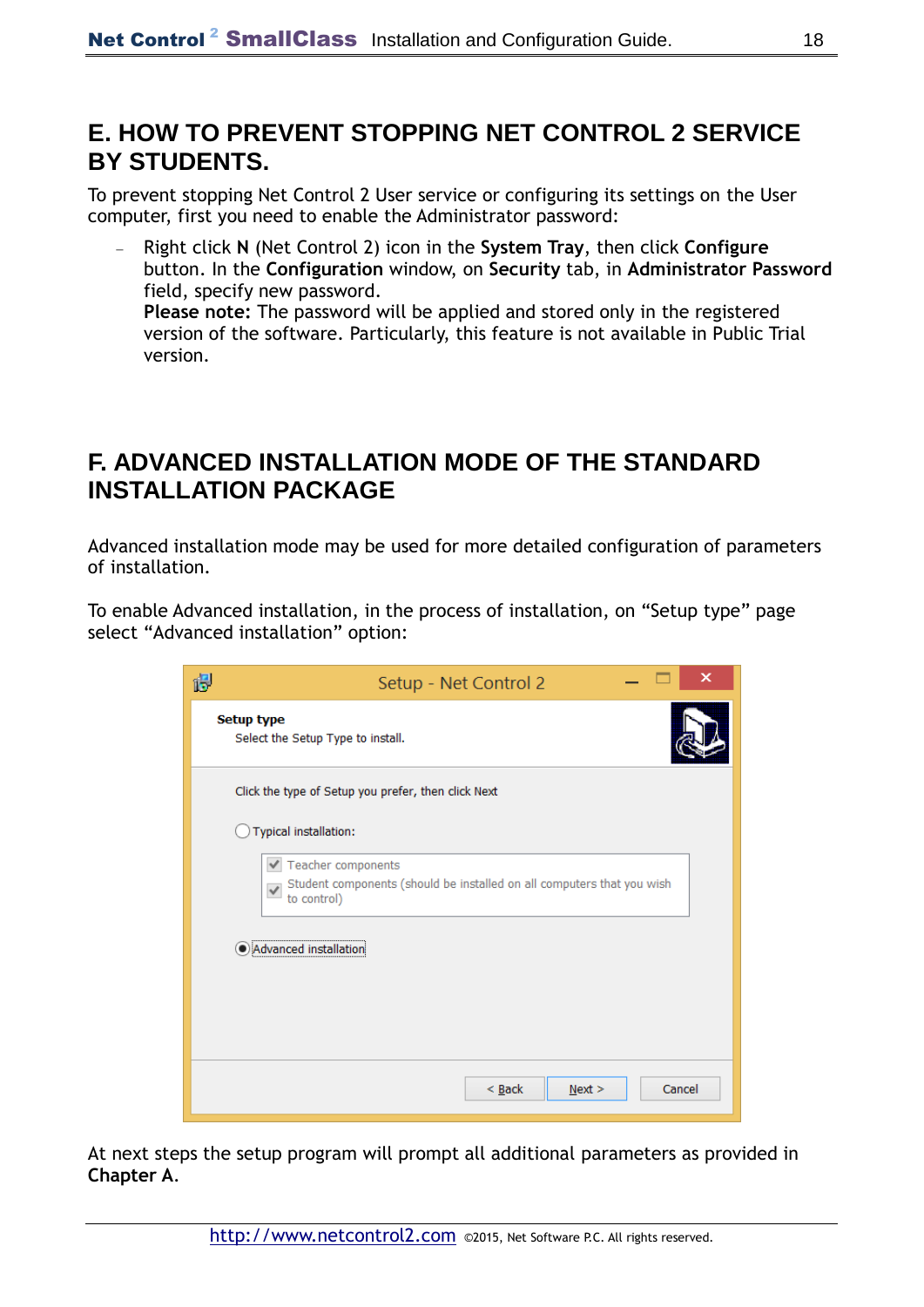## **E. HOW TO PREVENT STOPPING NET CONTROL 2 SERVICE BY STUDENTS.**

To prevent stopping Net Control 2 User service or configuring its settings on the User computer, first you need to enable the Administrator password:

 Right click **N** (Net Control 2) icon in the **System Tray**, then click **Configure**  button. In the **Configuration** window, on **Security** tab, in **Administrator Password**  field, specify new password. **Please note:** The password will be applied and stored only in the registered version of the software. Particularly, this feature is not available in Public Trial version.

### **F. ADVANCED INSTALLATION MODE OF THE STANDARD INSTALLATION PACKAGE**

Advanced installation mode may be used for more detailed configuration of parameters of installation.

To enable Advanced installation, in the process of installation, on "Setup type" page select "Advanced installation" option:

| 得 | x<br>Setup - Net Control 2                                                                                                    |  |  |  |  |  |  |
|---|-------------------------------------------------------------------------------------------------------------------------------|--|--|--|--|--|--|
|   | <b>Setup type</b><br>Select the Setup Type to install.                                                                        |  |  |  |  |  |  |
|   | Click the type of Setup you prefer, then click Next                                                                           |  |  |  |  |  |  |
|   | Typical installation:                                                                                                         |  |  |  |  |  |  |
|   | ✔ Teacher components<br>Student components (should be installed on all computers that you wish<br>$\checkmark$<br>to control) |  |  |  |  |  |  |
|   | Advanced installation                                                                                                         |  |  |  |  |  |  |
|   |                                                                                                                               |  |  |  |  |  |  |
|   |                                                                                                                               |  |  |  |  |  |  |
|   | $\leq$ Back<br>Cancel<br>Next >                                                                                               |  |  |  |  |  |  |

At next steps the setup program will prompt all additional parameters as provided in **Chapter A**.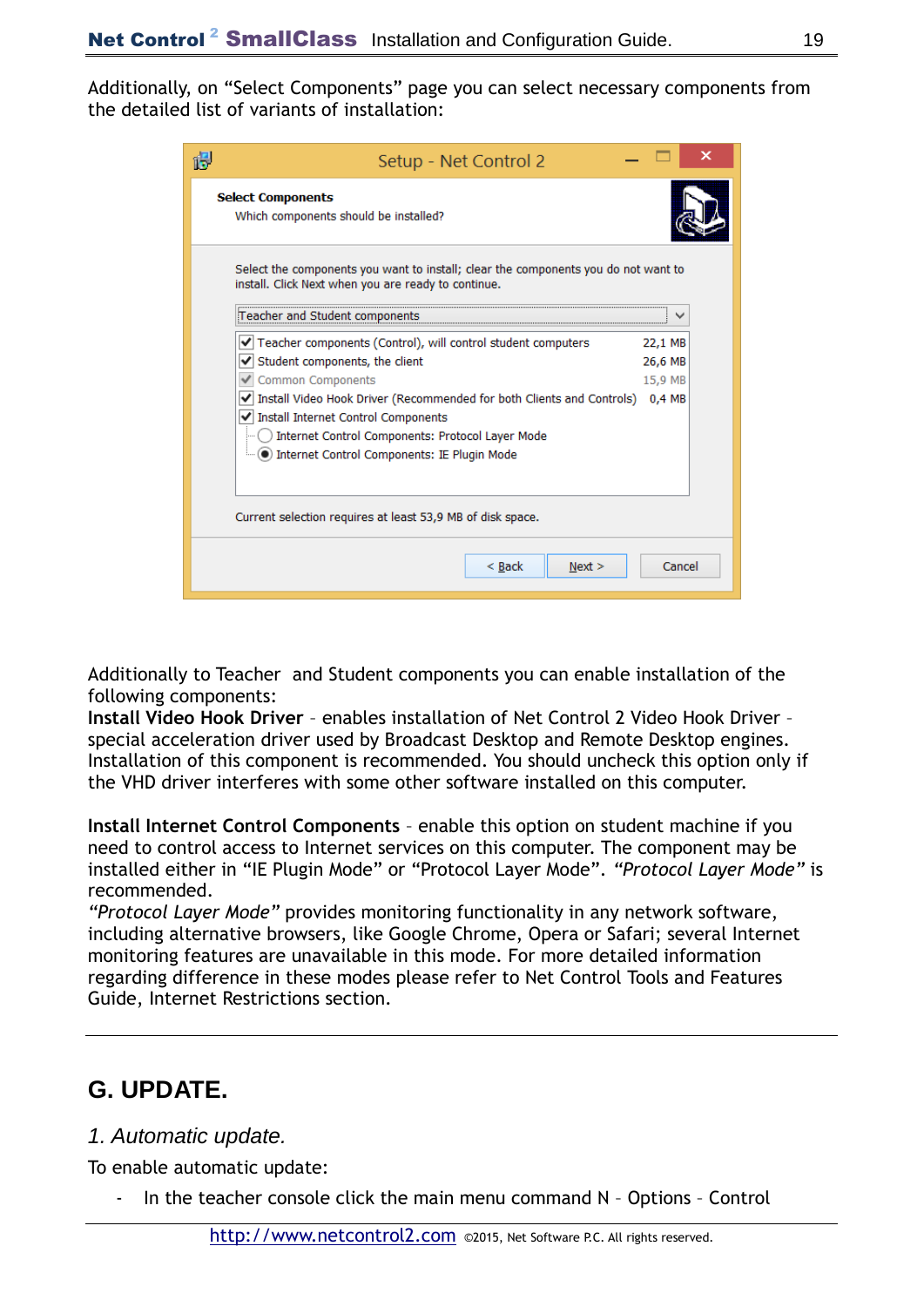Additionally, on "Select Components" page you can select necessary components from the detailed list of variants of installation:

|                                                            | Setup - Net Control 2                                                                                                                     |         |  |  |  |  |  |
|------------------------------------------------------------|-------------------------------------------------------------------------------------------------------------------------------------------|---------|--|--|--|--|--|
|                                                            | <b>Select Components</b><br>Which components should be installed?                                                                         |         |  |  |  |  |  |
|                                                            | Select the components you want to install; clear the components you do not want to<br>install. Click Next when you are ready to continue. |         |  |  |  |  |  |
|                                                            | Teacher and Student components:                                                                                                           |         |  |  |  |  |  |
|                                                            | Teacher components (Control), will control student computers                                                                              | 22,1 MB |  |  |  |  |  |
|                                                            | Student components, the client                                                                                                            | 26,6 MB |  |  |  |  |  |
|                                                            | Common Components                                                                                                                         | 15,9 MB |  |  |  |  |  |
|                                                            | Install Video Hook Driver (Recommended for both Clients and Controls)<br>√ Install Internet Control Components                            | 0.4 MB  |  |  |  |  |  |
|                                                            | Internet Control Components: Protocol Layer Mode                                                                                          |         |  |  |  |  |  |
|                                                            | i () Internet Control Components: IE Plugin Mode                                                                                          |         |  |  |  |  |  |
| Current selection requires at least 53,9 MB of disk space. |                                                                                                                                           |         |  |  |  |  |  |
|                                                            | $Back$<br>Next >                                                                                                                          | Cancel  |  |  |  |  |  |

Additionally to Teacher and Student components you can enable installation of the following components:

**Install Video Hook Driver** – enables installation of Net Control 2 Video Hook Driver – special acceleration driver used by Broadcast Desktop and Remote Desktop engines. Installation of this component is recommended. You should uncheck this option only if the VHD driver interferes with some other software installed on this computer.

**Install Internet Control Components** – enable this option on student machine if you need to control access to Internet services on this computer. The component may be installed either in "IE Plugin Mode" or "Protocol Layer Mode". *"Protocol Layer Mode"* is recommended.

*"Protocol Layer Mode"* provides monitoring functionality in any network software, including alternative browsers, like Google Chrome, Opera or Safari; several Internet monitoring features are unavailable in this mode. For more detailed information regarding difference in these modes please refer to Net Control Tools and Features Guide, Internet Restrictions section.

## **G. UPDATE.**

#### *1. Automatic update.*

To enable automatic update:

In the teacher console click the main menu command N - Options - Control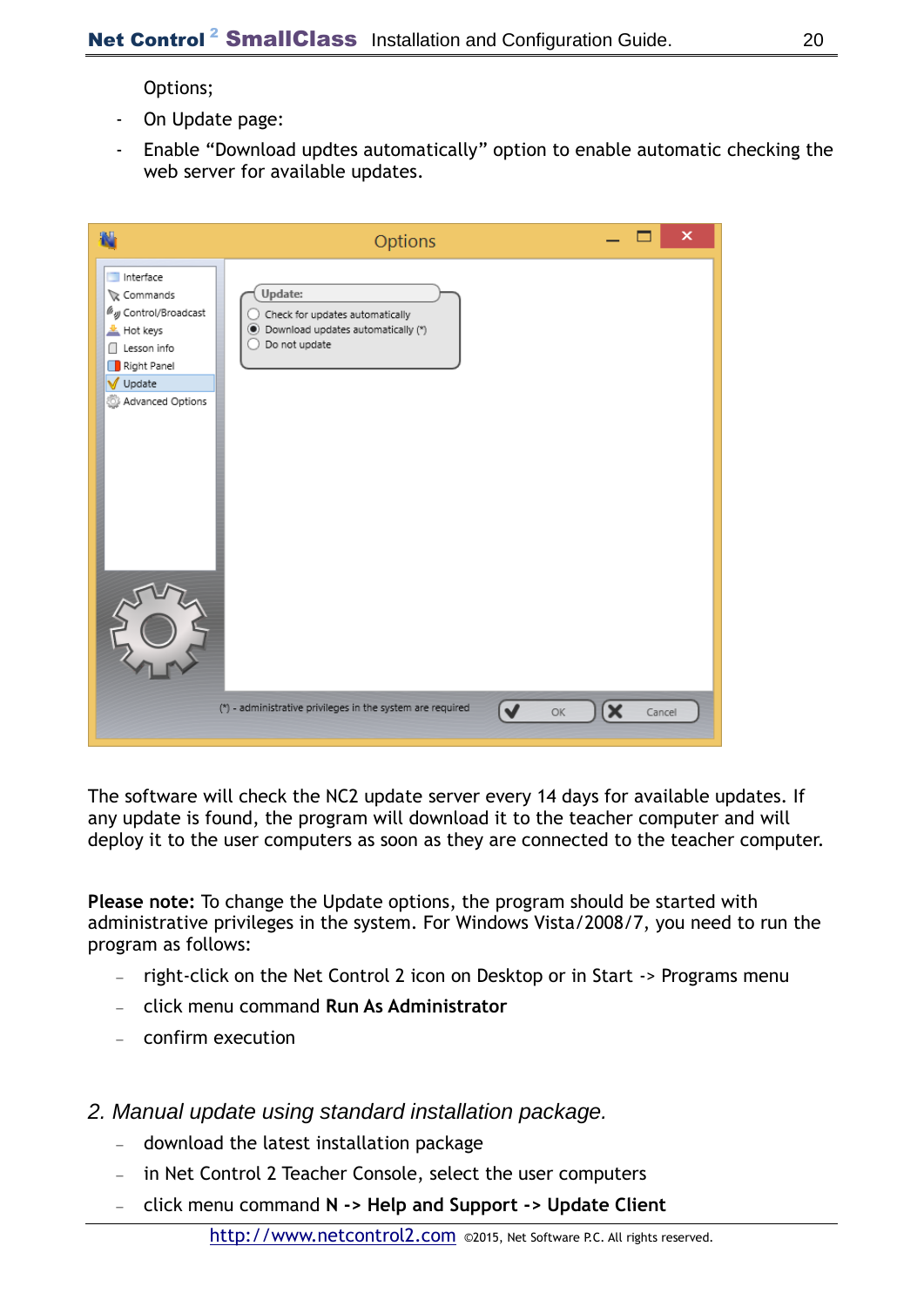Options;

- On Update page:
- Enable "Download updtes automatically" option to enable automatic checking the web server for available updates.

|                                                                                                                                | Options                                                                                                 | ×      |
|--------------------------------------------------------------------------------------------------------------------------------|---------------------------------------------------------------------------------------------------------|--------|
| Interface<br>Commands<br>Way Control/Broadcast<br>Hot keys<br>Lesson info<br>ſI<br>Right Panel<br>V Update<br>Advanced Options | Update:<br>Check for updates automatically<br>● Download updates automatically (*)<br>Do not update     |        |
|                                                                                                                                | (*) - administrative privileges in the system are required<br>$\blacktriangledown$<br>$\mathbf x$<br>ОK | Cancel |

The software will check the NC2 update server every 14 days for available updates. If any update is found, the program will download it to the teacher computer and will deploy it to the user computers as soon as they are connected to the teacher computer.

**Please note:** To change the Update options, the program should be started with administrative privileges in the system. For Windows Vista/2008/7, you need to run the program as follows:

- right-click on the Net Control 2 icon on Desktop or in Start -> Programs menu
- click menu command **Run As Administrator**
- confirm execution

#### *2. Manual update using standard installation package.*

- download the latest installation package
- in Net Control 2 Teacher Console, select the user computers
- click menu command **N -> Help and Support -> Update Client**